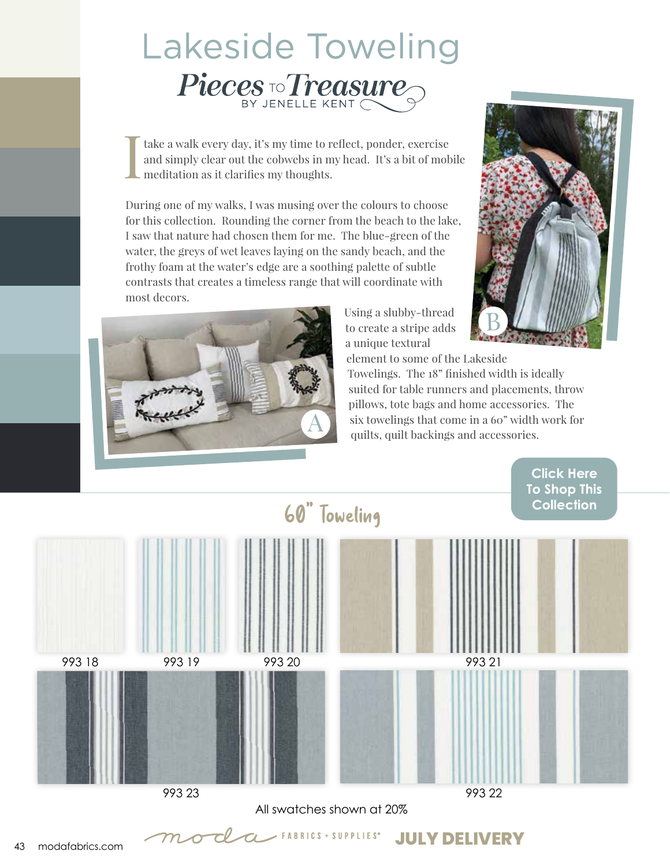## **Lakeside Toweling** Pieces To Treasure

I take a walk every day, it's my time to reflect, ponder, exercise and simply clear out the cobwebs in my head. It's a bit of mobile meditation as it clarifies my thoughts.

During one of my walks, I was musing over the colours to choose for this collection. Rounding the corner from the beach to the lake, I saw that nature had chosen them for me. The blue-green of the water, the greys of wet leaves laying on the sandy beach, and the frothy foam at the water's edge are a soothing palette of subtle contrasts that creates a timeless range that will coordinate with most decors.



Using a slubby-thread to create a stripe adds a unique textural



element to some of the Lakeside Towelings. The 18" finished width is ideally suited for table runners and placements, throw pillows, tote bags and home accessories. The six towelings that come in a 60" width work for quilts, quilt backings and accessories.



All swatches shown at 20%

 $\alpha$  FABRICS + SUPPLIES<sup>®</sup>

**JULY DELIVERY**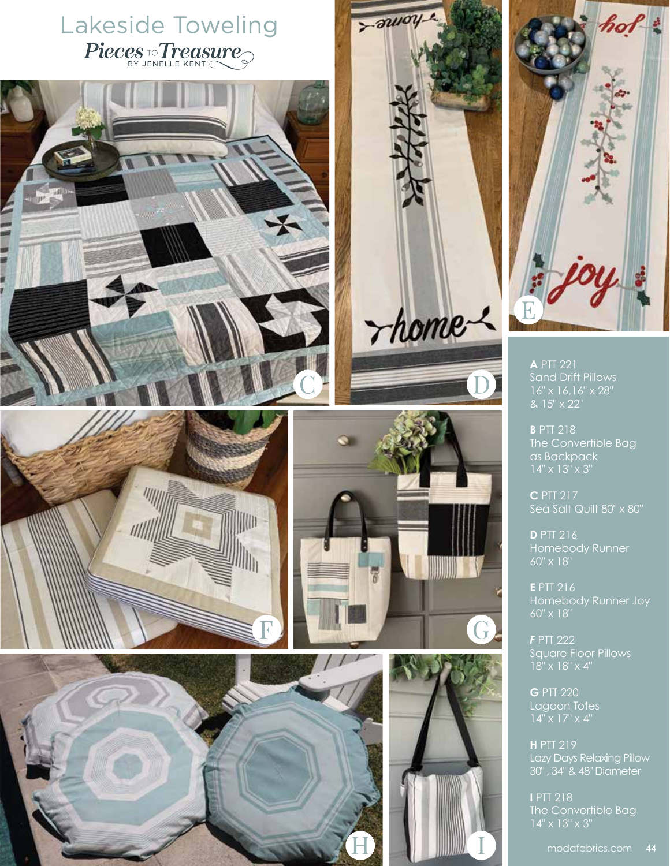## Lakeside Toweling Pieces To Treasure







G

 $z$ *auoy* 

*Thome* 



**A** PTT 221 Sand Drift Pillows 16" x 16,16" x 28" & 15" x 22"

**B** PTT 218 The Convertible Bag as Backpack

**C** PTT 217 Sea Salt Quilt 80" x 80"

**D** PTT 216 Homebody Runner 60" x 18"

**E** PTT 216 Homebody Runner Joy 60" x 18"

*F* PTT 222 Square Floor Pillows

**G** PTT 220 Lagoon Totes

**H** PTT 219 Lazy Days Relaxing Pillow 30" , 34" & 48" Diameter

The Convertible Bag

modafabrics.com 44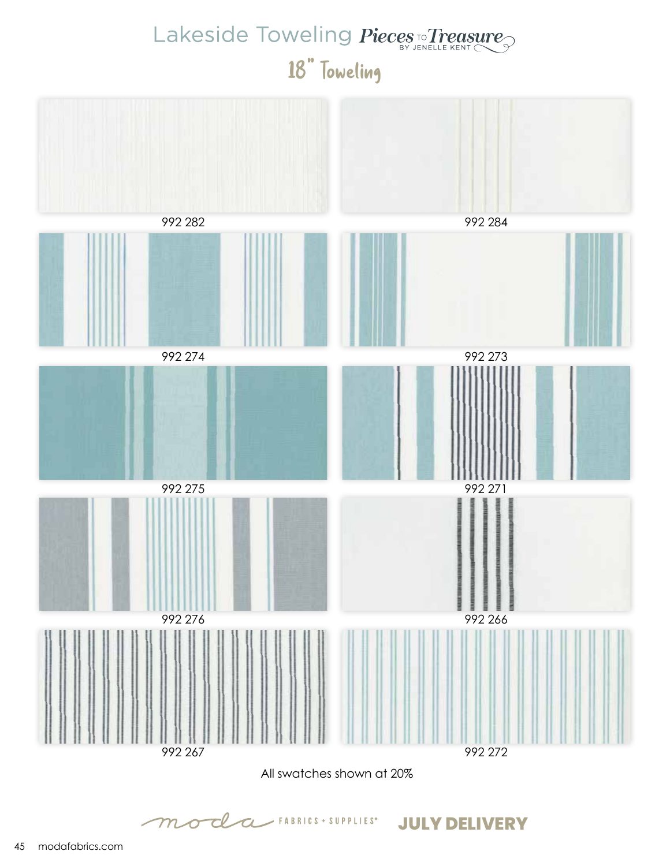## Lakeside Toweling Pieces To Treasure 18" Toweling



 $\angle$  FABRICS + SUPPLIES<sup>®</sup>

**JULY DELIVERY**

 ${\cal m}{\cal \sigma}$